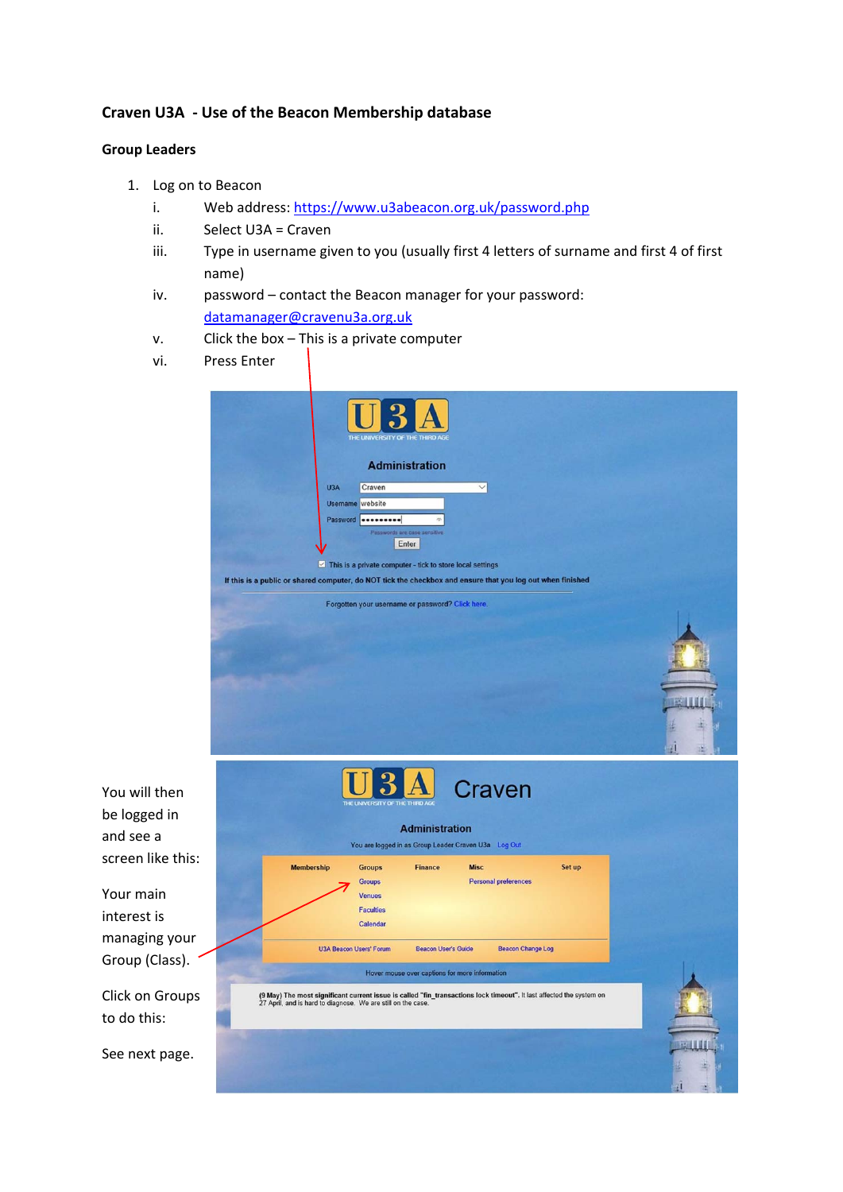## **Craven U3A ‐ Use of the Beacon Membership database**

## **Group Leaders**

- 1. Log on to Beacon
	- i. Web address: https://www.u3abeacon.org.uk/password.php
	- ii. Select U3A = Craven
	- iii. Type in username given to you (usually first 4 letters of surname and first 4 of first name)
	- iv. password contact the Beacon manager for your password: datamanager@cravenu3a.org.uk
	- v. Click the box This is a private computer
	- vi. Press Enter

|     | THE UNIVERSITY OF THE THIRD A                                                                                                                                                                                            |   |
|-----|--------------------------------------------------------------------------------------------------------------------------------------------------------------------------------------------------------------------------|---|
|     | <b>Administration</b><br>U3A<br>Craven<br>$\overline{\phantom{0}}$<br><b>Username</b> website<br>Password <b></b><br>ds are case:<br>Enter<br>$\triangleright$ This is a private computer - tick to store local settings |   |
|     | If this is a public or shared computer, do NOT tick the checkbox and ensure that you log out when finished<br>Forgotten your username or password? Click here.                                                           |   |
|     | Craven<br>THE UNIVERSITY OF THE THIRD<br><b>Administration</b><br>You are logged in as Group Leader Craven U3a Log Out                                                                                                   |   |
| is: | <b>Finance</b><br><b>Misc</b><br><b>Membership</b><br><b>Groups</b><br>Set up<br>Groups<br><b>Personal preferences</b><br><b>Venues</b><br><b>Faculties</b><br>Calendar                                                  |   |
| ır  | <b>U3A Beacon Users' Forum</b><br><b>Beacon User's Guide</b><br><b>Beacon Change Log</b><br>Hover mouse over captions for more information                                                                               |   |
| рs  | (9 May) The most significant current issue is called "fin_transactions lock timeout". It last affected the system on<br>27 April, and is hard to diagnose. We are still on the case.                                     |   |
| ₿.  |                                                                                                                                                                                                                          | 囤 |

You will then be logged in and see a screen like thi

Your main interest is managing you Group (Class).

Click on Group to do this:

See next page.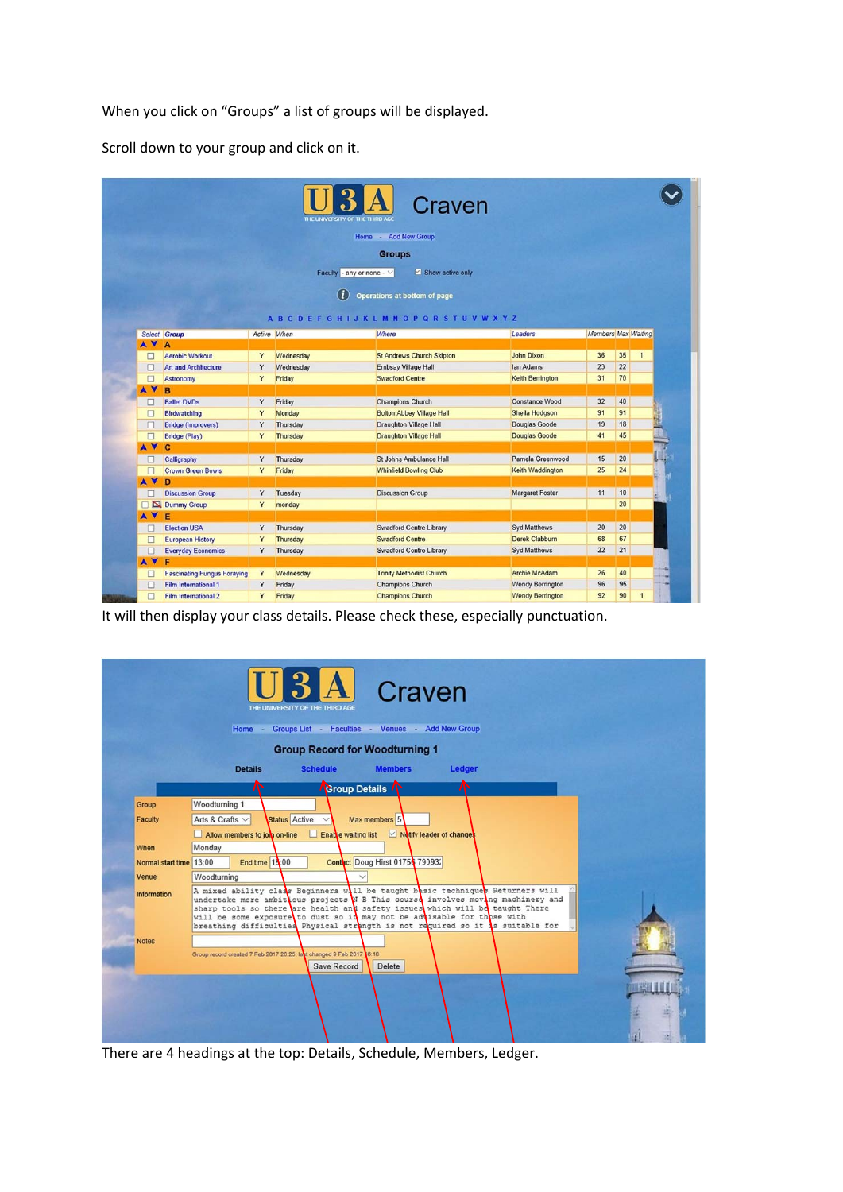When you click on "Groups" a list of groups will be displayed.

Scroll down to your group and click on it.

|           |                                    |              | THE UNIVERSITY OF THE THIRD AGE | Craven<br>- Add New Group<br>Home                   |                         |                     |      |                |    |
|-----------|------------------------------------|--------------|---------------------------------|-----------------------------------------------------|-------------------------|---------------------|------|----------------|----|
|           |                                    |              |                                 | <b>Groups</b>                                       |                         |                     |      |                |    |
|           |                                    |              | Faculty - any or none - $\vee$  | Show active only                                    |                         |                     |      |                |    |
|           |                                    |              |                                 |                                                     |                         |                     |      |                |    |
|           |                                    |              | Œ.                              | Operations at bottom of page                        |                         |                     |      |                |    |
|           |                                    |              |                                 | A B C D E F G H I J K L M N O P Q R S T U V W X Y Z |                         |                     |      |                |    |
|           | Select Group                       | Active When  |                                 | Where                                               | Leaders                 | Members Max Waiting |      |                |    |
| A V       | A                                  |              |                                 |                                                     |                         |                     |      |                |    |
| □         | <b>Aerobic Workout</b>             | Y            | Wednesday                       | <b>St Andrews Church Skipton</b>                    | <b>John Dixon</b>       | 36                  | 35   | $\mathbf{1}$   |    |
| □         | <b>Art and Architecture</b>        | Y            | Wednesday                       | <b>Embsay Village Hall</b>                          | lan Adams               | 23                  | 22   |                |    |
| $\Box$    | Astronomy                          | Y            | Friday                          | <b>Swadford Centre</b>                              | <b>Keith Berrington</b> | 31                  | 70   |                |    |
| A V       | B                                  |              |                                 |                                                     |                         |                     |      |                |    |
| □         | <b>Ballet DVDs</b>                 | Y            | Friday                          | <b>Champions Church</b>                             | <b>Constance Wood</b>   | 32                  | 40   |                |    |
| □         | Birdwatching                       | Y            | Monday                          | <b>Bolton Abbey Village Hall</b>                    | Sheila Hodgson          | 91                  | 91   |                |    |
| $\Box$    | <b>Bridge (Improvers)</b>          | Y            | Thursday                        | <b>Draughton Village Hall</b>                       | Douglas Goode           | 19                  | 18   |                | L  |
| $\Box$    | <b>Bridge (Play)</b>               | Y            | Thursday                        | <b>Draughton Village Hall</b>                       | <b>Douglas Goode</b>    | 41                  | 45   |                |    |
| A V       | c                                  |              |                                 |                                                     |                         |                     |      |                |    |
| $\Box$    | Calligraphy                        | Y            | Thursday                        | St Johns Ambulance Hall                             | Pamela Greenwood        | 15                  | 20   |                |    |
| $\Box$    | <b>Crown Green Bowls</b>           | Y            | Friday                          | <b>Whinfield Bowling Club</b>                       | Keith Waddington        | 25                  | 24   |                |    |
| <b>AV</b> | D                                  |              |                                 |                                                     |                         |                     |      |                |    |
| П         | <b>Discussion Group</b>            | Y            | Tuesday                         | <b>Discussion Group</b>                             | <b>Margaret Foster</b>  | 11                  | 10   |                | ۰. |
|           | <b>Dummy Group</b>                 | Y            | monday                          |                                                     |                         |                     | 20   |                |    |
| <b>AV</b> | E                                  |              |                                 |                                                     |                         |                     |      |                |    |
| u         | <b>Election USA</b>                | Y            | Thursday                        | <b>Swadford Centre Library</b>                      | <b>Syd Matthews</b>     | 20                  | 20   |                |    |
| □         | <b>European History</b>            | Y            | Thursday                        | <b>Swadford Centre</b>                              | <b>Derek Clabburn</b>   | 68                  | 67   |                |    |
| $\Box$    | <b>Everyday Economics</b>          | Y            | Thursday                        | <b>Swadford Centre Library</b>                      | <b>Syd Matthews</b>     | 22                  | 21   |                |    |
| A V       | F                                  |              |                                 |                                                     |                         |                     |      |                |    |
| □         | <b>Fascinating Fungus Foraying</b> | Y            | Wednesday                       | <b>Trinity Methodist Church</b>                     | <b>Archie McAdam</b>    | 26                  | $40$ |                |    |
| □         | <b>Film International 1</b>        | Y            | Friday                          | <b>Champions Church</b>                             | <b>Wendy Berrington</b> | 96                  | 95   |                |    |
| $\Box$    | Film International 2               | $\mathbf{v}$ | Friday                          | Champions Church                                    | <b>Wendy Berrington</b> | 92                  | 90   | $\overline{1}$ |    |

It will then display your class details. Please check these, especially punctuation.

|                         | <b>Group Record for Woodturning 1</b>                                                                                                                                                                                                                                                                                                                                                                          |
|-------------------------|----------------------------------------------------------------------------------------------------------------------------------------------------------------------------------------------------------------------------------------------------------------------------------------------------------------------------------------------------------------------------------------------------------------|
|                         | <b>Schedule</b><br><b>Details</b><br><b>Members</b><br>Ledger                                                                                                                                                                                                                                                                                                                                                  |
|                         | <b>Sroup Details</b>                                                                                                                                                                                                                                                                                                                                                                                           |
| Group                   | Woodturning 1                                                                                                                                                                                                                                                                                                                                                                                                  |
| <b>Faculty</b>          | Status Active<br>Arts & Crafts V<br>Max members 5                                                                                                                                                                                                                                                                                                                                                              |
|                         | Notify leader of changes<br>Allow members to job on-line<br>Enable waiting list<br>ш                                                                                                                                                                                                                                                                                                                           |
| When                    | Monday                                                                                                                                                                                                                                                                                                                                                                                                         |
| Normal start time 13:00 | Contact Doug Hirst 01754 79093.<br>End time 15:00                                                                                                                                                                                                                                                                                                                                                              |
| Venue                   | Woodturning                                                                                                                                                                                                                                                                                                                                                                                                    |
| <b>Information</b>      | A mixed ability class Beginners will be taught basic techniques Returners will<br>undertake more ambit ous projects W B This course involves moving machinery and<br>sharp tools so there are health and safety issues which will be taught There<br>will be some exposure to dust so it may not be advisable for those with<br>breathing difficulties Physical strength is not required so it is suitable for |
| <b>Notes</b>            |                                                                                                                                                                                                                                                                                                                                                                                                                |
|                         | Group record created 7 Feb 2017 20:25; latt changed 9 Feb 2017 6:18                                                                                                                                                                                                                                                                                                                                            |

There are 4 headings at the top: Details, Schedule, Members, Ledger.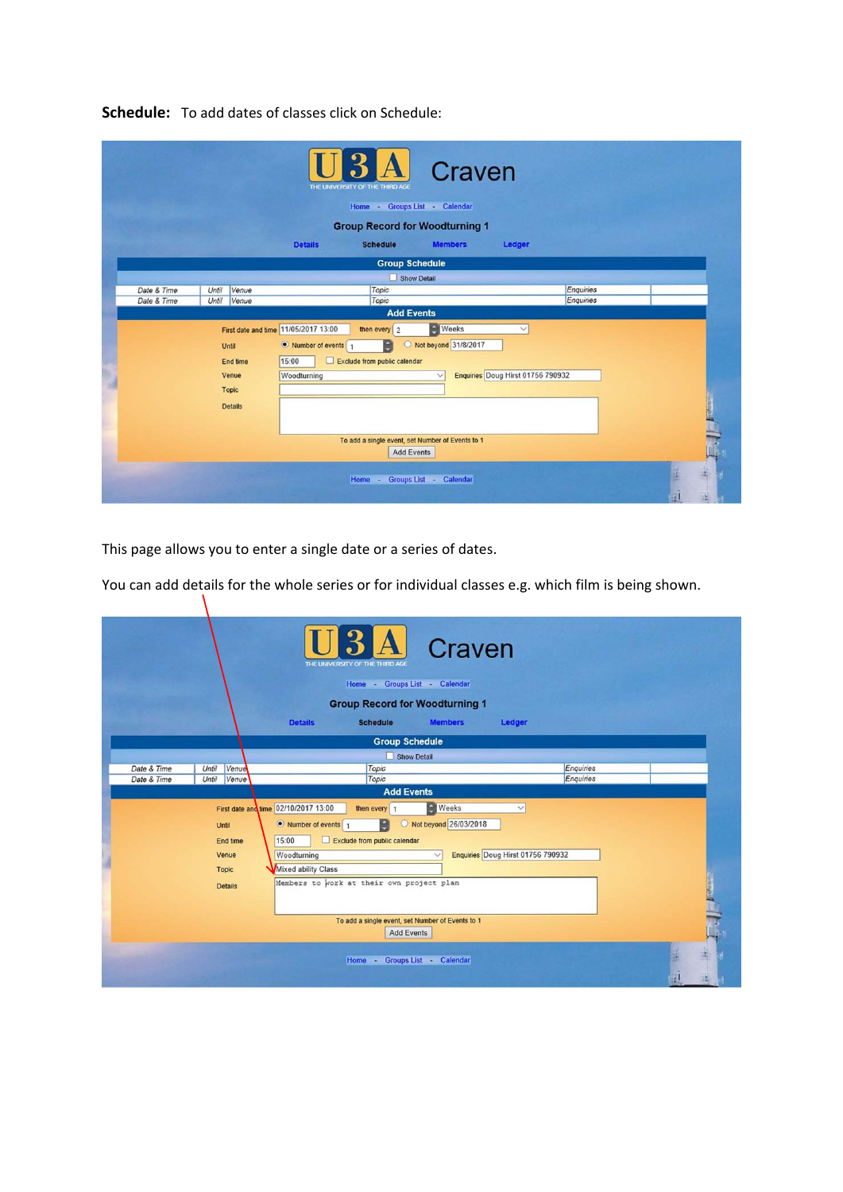|             |       |                                                     |                                                                                      | THE UNIVERSITY OF THE THIRD AGE<br>Home - Groups List - Calendar                                                                                                  | Craven                                               |                                                   |           |  |
|-------------|-------|-----------------------------------------------------|--------------------------------------------------------------------------------------|-------------------------------------------------------------------------------------------------------------------------------------------------------------------|------------------------------------------------------|---------------------------------------------------|-----------|--|
|             |       |                                                     |                                                                                      | <b>Group Record for Woodturning 1</b>                                                                                                                             |                                                      |                                                   |           |  |
|             |       |                                                     | <b>Details</b>                                                                       | <b>Schedule</b>                                                                                                                                                   | <b>Members</b>                                       | Ledger                                            |           |  |
|             |       |                                                     |                                                                                      | <b>Group Schedule</b>                                                                                                                                             |                                                      |                                                   |           |  |
|             |       |                                                     |                                                                                      |                                                                                                                                                                   | Show Detail                                          |                                                   |           |  |
| Date & Time | Until | Venue                                               |                                                                                      | Topic                                                                                                                                                             |                                                      |                                                   | Enquiries |  |
| Date & Time | Until | Venue                                               |                                                                                      | Topic                                                                                                                                                             |                                                      |                                                   | Enquiries |  |
|             | Until | End time<br>Venue<br><b>Topic</b><br><b>Details</b> | First date and time 11/05/2017 13:00<br>• Number of events 1<br>15:00<br>Woodturning | <b>Add Events</b><br>then every $\vert$ 2<br>e<br>O<br>□<br>Exclude from public calendar<br>To add a single event, set Number of Events to 1<br><b>Add Events</b> | <b>Neeks</b><br>Not beyond 31/8/2017<br>$\checkmark$ | $\checkmark$<br>Enquiries Doug Hirst 01756 790932 |           |  |
|             |       |                                                     |                                                                                      | Home -                                                                                                                                                            | Groups List - Calendar                               |                                                   |           |  |

**Schedule:** To add dates of classes click on Schedule:

This page allows you to enter a single date or a series of dates.

 $\mathcal{N}$ 

You can add details for the whole series or for individual classes e.g. which film is being shown.

|             |                                                              |                                                                                                                                                          | THE UNIVERSITY OF THE THIRD AGE<br>Home - Groups List - Calendar | Craven<br><b>Group Record for Woodturning 1</b>                                             |                                                   |           |                 |
|-------------|--------------------------------------------------------------|----------------------------------------------------------------------------------------------------------------------------------------------------------|------------------------------------------------------------------|---------------------------------------------------------------------------------------------|---------------------------------------------------|-----------|-----------------|
|             |                                                              | <b>Details</b>                                                                                                                                           | <b>Schedule</b>                                                  | <b>Members</b>                                                                              | Ledger                                            |           |                 |
|             |                                                              |                                                                                                                                                          | <b>Group Schedule</b>                                            |                                                                                             |                                                   |           |                 |
|             |                                                              |                                                                                                                                                          |                                                                  | Show Detail                                                                                 |                                                   |           |                 |
| Date & Time | Until<br>Venue                                               |                                                                                                                                                          | Topic                                                            |                                                                                             |                                                   | Enquiries |                 |
| Date & Time | Until<br>Venue                                               |                                                                                                                                                          | Topic                                                            |                                                                                             |                                                   | Enquiries |                 |
|             |                                                              |                                                                                                                                                          | <b>Add Events</b>                                                |                                                                                             |                                                   |           |                 |
|             | Until<br>End time<br>Venue<br><b>Topic</b><br><b>Details</b> | First date and time 02/10/2017 13:00<br>• Number of events 1<br>15:00<br>Woodturning<br>Mixed ability Class<br>Members to work at their own project plan | then every   1<br>H<br>Exclude from public calendar              | <b>Weeks</b><br>O Not beyond 26/03/2018<br>To add a single event, set Number of Events to 1 | $\checkmark$<br>Enquiries Doug Hirst 01756 790932 |           | <b>Children</b> |
|             |                                                              |                                                                                                                                                          | <b>Add Events</b><br>Home - Groups List - Calendar               |                                                                                             |                                                   |           | 逇               |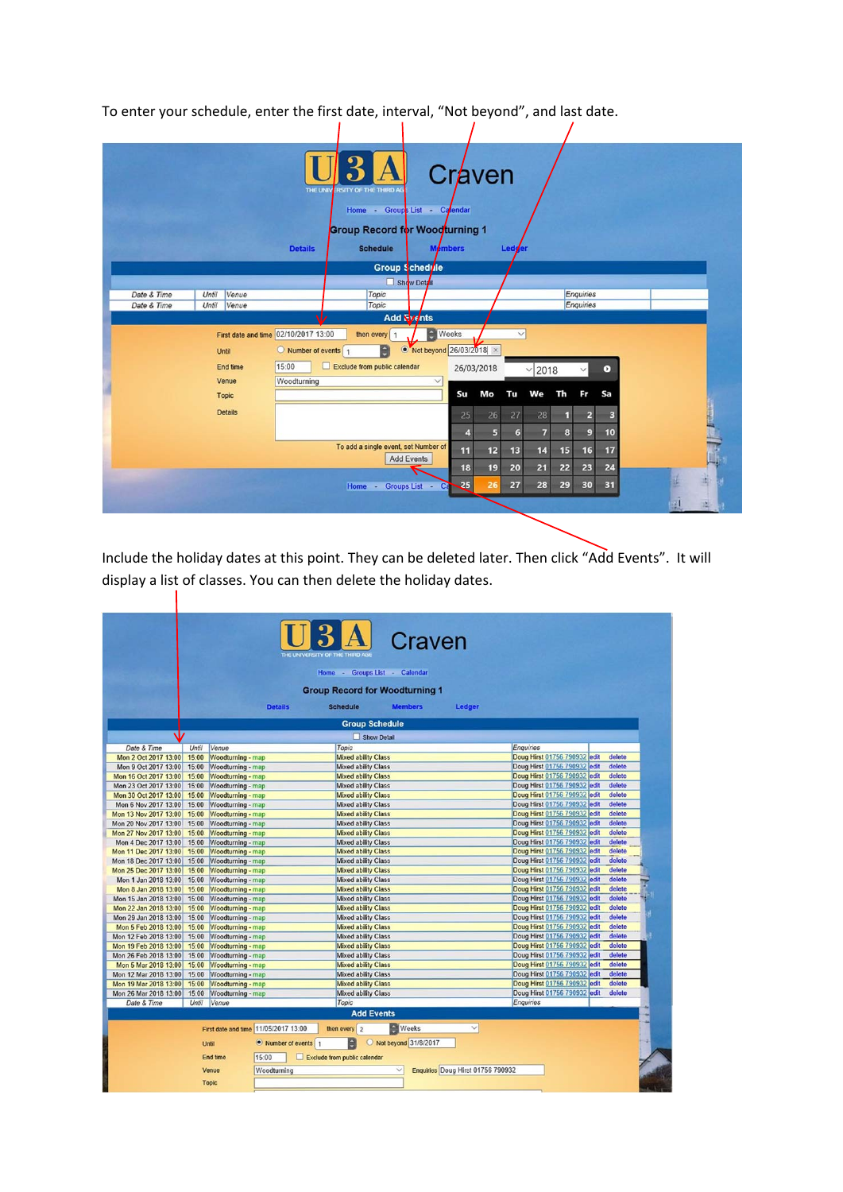To enter your schedule, enter the first date, interval, "Not beyond", and last date.<br>  $\begin{array}{ccc} \n\end{array}$ 

|             |       |                                            | THE UNIV                                                                         | <b>RSITY OF THE THIRD AG</b><br>Home - Groups List - Calendar<br><b>Group Record for Woodturning 1</b> |                                                |             | Craven           |                    |                            |          |                    |                 |  |         |
|-------------|-------|--------------------------------------------|----------------------------------------------------------------------------------|--------------------------------------------------------------------------------------------------------|------------------------------------------------|-------------|------------------|--------------------|----------------------------|----------|--------------------|-----------------|--|---------|
|             |       |                                            | <b>Details</b>                                                                   | <b>Schedule</b>                                                                                        | <b>Members</b>                                 |             |                  | Ledder             |                            |          |                    |                 |  |         |
|             |       |                                            |                                                                                  |                                                                                                        | Group Schedrile                                |             |                  |                    |                            |          |                    |                 |  |         |
|             |       |                                            |                                                                                  |                                                                                                        | Show Detail                                    |             |                  |                    |                            |          |                    |                 |  |         |
| Date & Time | Until | Venue                                      |                                                                                  | Topic                                                                                                  |                                                |             |                  |                    |                            |          | Enquiries          |                 |  |         |
| Date & Time | Until | Venue                                      |                                                                                  | Topic                                                                                                  | Add <b>Events</b>                              |             |                  |                    |                            |          | Enquiries          |                 |  |         |
|             |       | Until<br>End time<br>Venue<br><b>Topic</b> | First date and time 02/10/2017 13:00<br>Number of events<br>15:00<br>Woodturning | then every 1<br>a<br>Exclude from public calendar<br>□                                                 | А<br>• Not beyond 26/03/2018 ×<br>$\checkmark$ | Weeks<br>Su | 26/03/2018<br>Mo | $\checkmark$<br>Tu | 2018<br>$\checkmark$<br>We | Th       | $\checkmark$<br>Fr | $\bullet$<br>Sa |  |         |
|             |       | <b>Details</b>                             |                                                                                  |                                                                                                        |                                                | 25          | 26               | 27                 | 28                         | 1        | $\mathbf{z}$       | в               |  | a Judan |
|             |       |                                            |                                                                                  |                                                                                                        |                                                | 4           | 5                | 6                  | 7                          | 8        | $\overline{9}$     | 10              |  |         |
|             |       |                                            |                                                                                  | To add a single event, set Number of                                                                   | <b>Add Events</b>                              | 11<br>18    | 12<br>19         | 13<br>20           | 14<br>21                   | 15<br>22 | 16<br>23           | 17<br>24        |  |         |
|             |       |                                            |                                                                                  | Home -                                                                                                 | Groups List -<br>Ca                            | 25          | 26               | 27                 | 28                         | 29       | 30                 | 31              |  |         |
|             |       |                                            |                                                                                  |                                                                                                        |                                                |             |                  |                    |                            |          |                    |                 |  |         |

Include the holiday dates at this point. They can be deleted later. Then click "Add Events". It will display a list of classes. You can then delete the holiday dates.

|                                                |                |                                        |                                      | THE UNIVERSITY OF THE THIRD A |                                                          | Craven               |                                   |                                                              |                  |  |
|------------------------------------------------|----------------|----------------------------------------|--------------------------------------|-------------------------------|----------------------------------------------------------|----------------------|-----------------------------------|--------------------------------------------------------------|------------------|--|
|                                                |                |                                        |                                      |                               | Home - Groups List - Calendar                            |                      |                                   |                                                              |                  |  |
|                                                |                |                                        |                                      |                               | <b>Group Record for Woodturning 1</b>                    |                      |                                   |                                                              |                  |  |
|                                                |                |                                        | <b>Details</b>                       |                               | <b>Schedule</b>                                          | <b>Members</b>       |                                   |                                                              |                  |  |
|                                                |                |                                        |                                      |                               |                                                          |                      | Ledger                            |                                                              |                  |  |
|                                                |                |                                        |                                      |                               | <b>Group Schedule</b>                                    |                      |                                   |                                                              |                  |  |
|                                                |                |                                        |                                      |                               | Show Detail                                              |                      |                                   |                                                              |                  |  |
| Date & Time                                    | Until          | Venue                                  |                                      |                               | Topic                                                    |                      |                                   | Enquiries                                                    |                  |  |
| Mon 2 Oct 2017 13:00                           | 15:00          | Woodturning - map                      |                                      |                               | <b>Mixed ability Class</b>                               |                      |                                   | Doug Hirst 01756 790932 edit                                 | delete           |  |
| Mon 9 Oct 2017 13:00                           | 15:00          | Woodturning - map                      |                                      |                               | <b>Mixed ability Class</b>                               |                      |                                   | Doug Hirst 01756 790932 edit                                 | delete<br>delete |  |
| Mon 16 Oct 2017 13:00                          | 15:00          | Woodturning - map                      |                                      |                               | <b>Mixed ability Class</b>                               |                      |                                   | Doug Hirst 01756 790932 edit                                 |                  |  |
| Mon 23 Oct 2017 13:00                          | 15:00          | Woodturning - map                      |                                      |                               | <b>Mixed ability Class</b>                               |                      |                                   | Doug Hirst 01756 790932 edit                                 | delete<br>delete |  |
| Mon 30 Oct 2017 13:00                          | 15:00          | Woodturning - map                      |                                      |                               | <b>Mixed ability Class</b>                               |                      |                                   | Doug Hirst 01756 790932 edit                                 | delete           |  |
| Mon 6 Nov 2017 13:00                           | 15:00<br>15:00 | Woodturning - map                      |                                      |                               | <b>Mixed ability Class</b><br><b>Mixed ability Class</b> |                      |                                   | Doug Hirst 01756 790932 edit<br>Doug Hirst 01756 790932 edit | delete           |  |
| Mon 13 Nov 2017 13:00<br>Mon 20 Nov 2017 13:00 | 15:00          | Woodturning - map                      |                                      |                               | <b>Mixed ability Class</b>                               |                      |                                   | Doug Hirst 01756 790932 edit                                 | delete           |  |
|                                                | 15:00          | Woodturning - map                      |                                      |                               | <b>Mixed ability Class</b>                               |                      |                                   | Doug Hirst 01756 790932 edit                                 | delete           |  |
| Mon 27 Nov 2017 13:00<br>Mon 4 Dec 2017 13:00  | 15:00          | Woodturning - map<br>Woodturning - map |                                      |                               | <b>Mixed ability Class</b>                               |                      |                                   | Doug Hirst 01756 790932 edit                                 | delete           |  |
| Mon 11 Dec 2017 13:00                          | 15:00          | Woodturning - map                      |                                      |                               | <b>Mixed ability Class</b>                               |                      |                                   | Doug Hirst 01756 790932 edit                                 | delete           |  |
|                                                | 15:00          |                                        |                                      |                               | <b>Mixed ability Class</b>                               |                      |                                   | Doug Hirst 01756 790932 edit                                 | delete           |  |
| Mon 18 Dec 2017 13:00                          | 15:00          | Woodturning - map                      |                                      |                               | <b>Mixed ability Class</b>                               |                      |                                   | Doug Hirst 01756 790932 edit                                 | delete           |  |
| Mon 25 Dec 2017 13:00                          | 15:00          | Woodturning - map                      |                                      |                               |                                                          |                      |                                   |                                                              | delete           |  |
| Mon 1 Jan 2018 13:00                           |                | Woodturning - map                      |                                      |                               | <b>Mixed ability Class</b>                               |                      |                                   | Doug Hirst 01756 790932 edit                                 | delete           |  |
| Mon 8 Jan 2018 13:00<br>Mon 15 Jan 2018 13:00  | 15:00<br>15:00 | Woodturning - map                      |                                      |                               | <b>Mixed ability Class</b><br><b>Mixed ability Class</b> |                      |                                   | Doug Hirst 01756 790932 edit<br>Doug Hirst 01756 790932 edit | delete           |  |
|                                                | 15:00          | Woodturning - map                      |                                      |                               | <b>Mixed ability Class</b>                               |                      |                                   | Doug Hirst 01756 790932 edit                                 | delete           |  |
| Mon 22 Jan 2018 13:00                          |                | Woodturning - map                      |                                      |                               |                                                          |                      |                                   |                                                              | delete           |  |
| Mon 29 Jan 2018 13:00                          | 15:00          | Woodturning - map                      |                                      |                               | <b>Mixed ability Class</b>                               |                      |                                   | Doug Hirst 01756 790932 edit                                 | delete           |  |
| Mon 5 Feb 2018 13:00                           | 15:00          | Woodturning - map                      |                                      |                               | <b>Mixed ability Class</b>                               |                      |                                   | Doug Hirst 01756 790932 edit                                 | delete           |  |
| Mon 12 Feb 2018 13:00                          | 15:00          | Woodturning - map                      |                                      |                               | <b>Mixed ability Class</b>                               |                      |                                   | Doug Hirst 01756 790932 edit                                 | delete           |  |
| Mon 19 Feb 2018 13:00                          | 15:00          | Woodturning - map                      |                                      |                               | <b>Mixed ability Class</b>                               |                      |                                   | Doug Hirst 01756 790932 edit                                 |                  |  |
| Mon 26 Feb 2018 13:00                          | 15:00          | Woodturning - map                      |                                      |                               | <b>Mixed ability Class</b>                               |                      |                                   | Doug Hirst 01756 790932 edit                                 | delete           |  |
| Mon 5 Mar 2018 13:00                           | 15:00          | Woodturning - map                      |                                      |                               | <b>Mixed ability Class</b>                               |                      |                                   | Doug Hirst 01756 790932 edit                                 | delete           |  |
| Mon 12 Mar 2018 13:00                          | 15:00          | Woodturning - map                      |                                      |                               | <b>Mixed ability Class</b>                               |                      |                                   | Doug Hirst 01756 790932 edit                                 | delete           |  |
| Mon 19 Mar 2018 13:00                          | 15:00          | Woodturning - map                      |                                      |                               | <b>Mixed ability Class</b>                               |                      |                                   | Doug Hirst 01756 790932 edit                                 | delete           |  |
| Mon 26 Mar 2018 13:00                          | 15:00          | Woodturning - map                      |                                      |                               | <b>Mixed ability Class</b>                               |                      |                                   | Doug Hirst 01756 790932 edit                                 | delete           |  |
| Date & Time                                    | Until          | Venue                                  |                                      |                               | Topic                                                    |                      |                                   | Enquiries                                                    |                  |  |
|                                                |                |                                        |                                      |                               | <b>Add Events</b>                                        |                      |                                   |                                                              |                  |  |
|                                                |                |                                        | First date and time 11/05/2017 13:00 |                               | then every 2                                             | <b>Weeks</b>         | $\checkmark$                      |                                                              |                  |  |
|                                                |                | Until                                  | • Number of events   1               |                               | H                                                        | Not beyond 31/8/2017 |                                   |                                                              |                  |  |
|                                                |                | <b>End time</b>                        | 15:00                                |                               | Exclude from public calendar                             |                      |                                   |                                                              |                  |  |
|                                                |                | Venue                                  | Woodturning                          |                               |                                                          |                      | Enquiries Doug Hirst 01756 790932 |                                                              |                  |  |
|                                                |                | <b>Topic</b>                           |                                      |                               |                                                          |                      |                                   |                                                              |                  |  |
|                                                |                |                                        |                                      |                               |                                                          |                      |                                   |                                                              |                  |  |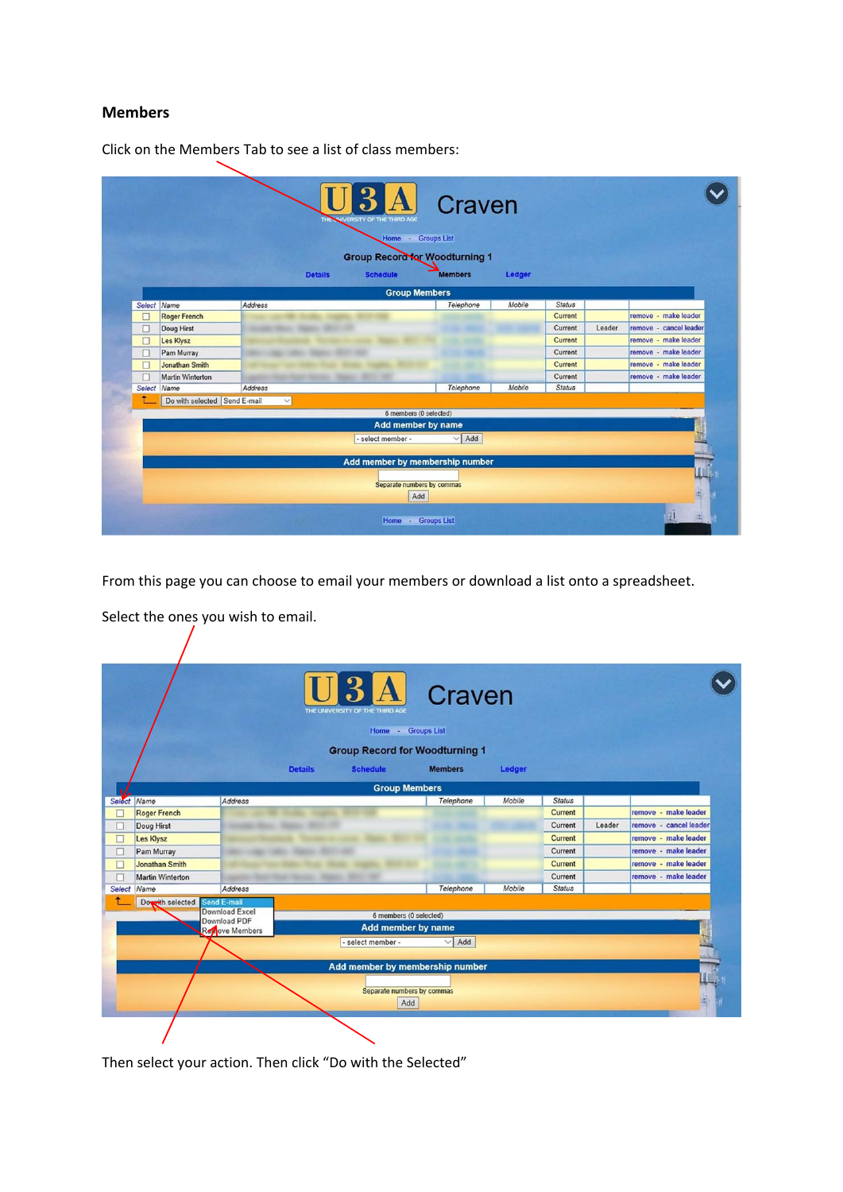## **Members**

|             |                              |                | THE | NIVERSITY OF THE THIRD AGE | Craven                                                  |        |               |        |                        |
|-------------|------------------------------|----------------|-----|----------------------------|---------------------------------------------------------|--------|---------------|--------|------------------------|
|             |                              |                |     | Home - Groups List         |                                                         |        |               |        |                        |
|             |                              | <b>Details</b> |     | <b>Schedule</b>            | <b>Group Record for Woodturning 1</b><br><b>Members</b> | Ledger |               |        |                        |
|             |                              |                |     |                            |                                                         |        |               |        |                        |
|             |                              |                |     | <b>Group Members</b>       |                                                         |        |               |        |                        |
| Select Name |                              | Address        |     |                            | Telephone                                               | Mobile | Status        |        |                        |
| $\Box$      | <b>Roger French</b>          |                |     |                            |                                                         |        | Current       |        | remove - make leader   |
| □           | Doug Hirst                   |                |     |                            |                                                         |        | Current       | Leader | remove - cancel leader |
| $\Box$      | Les Klysz                    |                |     |                            |                                                         |        | Current       |        | remove - make leader   |
| □           | Pam Murray                   |                |     |                            |                                                         |        | Current       |        | remove - make leader   |
| $\Box$      | <b>Jonathan Smith</b>        |                |     |                            |                                                         |        | Current       |        | remove - make leader   |
| $\Box$      | <b>Martin Winterton</b>      |                |     | ٠                          |                                                         |        | Current       |        | remove - make leader   |
| Select Name |                              | Address        |     |                            | Telephone                                               | Mobile | <b>Status</b> |        |                        |
|             | Do with selected Send E-mail | $\checkmark$   |     |                            |                                                         |        |               |        |                        |
|             |                              |                |     | 6 members (0 selected)     |                                                         |        |               |        |                        |
|             |                              |                |     | Add member by name         |                                                         |        |               |        |                        |
|             |                              |                |     | - select member -          | $\vee$ Add                                              |        |               |        |                        |
|             |                              |                |     |                            |                                                         |        |               |        |                        |
|             |                              |                |     |                            | Add member by membership number                         |        |               |        |                        |
|             |                              |                |     |                            |                                                         |        |               |        | L.                     |
|             |                              |                |     | Separate numbers by commas |                                                         |        |               |        |                        |
|             |                              |                |     | Add                        |                                                         |        |               |        |                        |
|             |                              |                |     |                            |                                                         |        |               |        |                        |
|             |                              |                |     | Home - Groups List         |                                                         |        |               |        |                        |

Click on the Members Tab to see a list of class members:

From this page you can choose to email your members or download a list onto a spreadsheet.

Select the ones you wish to email.

 $\sqrt{ }$ 

|        |                         |                                |                | <b>3 A</b><br>THE UNIVERSITY OF THE THIRD AGE | Craven                                |        |               |        |                        |
|--------|-------------------------|--------------------------------|----------------|-----------------------------------------------|---------------------------------------|--------|---------------|--------|------------------------|
|        |                         |                                |                | Home - Groups List                            |                                       |        |               |        |                        |
|        |                         |                                |                |                                               | <b>Group Record for Woodturning 1</b> |        |               |        |                        |
|        |                         |                                | <b>Details</b> | <b>Schedule</b>                               | <b>Members</b>                        | Ledger |               |        |                        |
|        |                         |                                |                | <b>Group Members</b>                          |                                       |        |               |        |                        |
|        | Select Name             | Address                        |                |                                               | Telephone                             | Mobile | <b>Status</b> |        |                        |
| □      | <b>Roger French</b>     |                                |                |                                               |                                       |        | Current       |        | remove - make leader   |
| □      | Doug Hirst              |                                |                |                                               |                                       |        | Current       | Leader | remove - cancel leader |
| $\Box$ | Les Klysz               |                                |                |                                               |                                       |        | Current       |        | remove - make leader   |
| о      | Pam Murray              |                                |                |                                               | a.                                    |        | Current       |        | remove - make leader   |
| $\Box$ | <b>Jonathan Smith</b>   |                                |                |                                               |                                       |        | Current       |        | remove - make leader   |
| п      | <b>Martin Winterton</b> |                                |                |                                               |                                       |        | Current       |        | remove - make leader   |
|        | Select Name             | Address                        |                |                                               | Telephone                             | Mobile | <b>Status</b> |        |                        |
|        | Dowith selected         | Send E-mail                    |                |                                               |                                       |        |               |        |                        |
|        |                         | Download Excel<br>Download PDF |                | 6 members (0 selected)                        |                                       |        |               |        |                        |
|        |                         | Reviewe Members                |                | Add member by name                            |                                       |        |               |        |                        |
|        |                         |                                |                | - select member -                             | Add<br>$\checkmark$                   |        |               |        |                        |
|        |                         |                                |                |                                               |                                       |        |               |        |                        |
|        |                         |                                |                |                                               | Add member by membership number       |        |               |        |                        |
|        |                         |                                |                |                                               |                                       |        |               |        | Щ                      |
|        |                         |                                |                | Separate numbers by commas                    |                                       |        |               |        |                        |
|        |                         |                                |                | Add                                           |                                       |        |               |        |                        |

Then select your action. Then click "Do with the Selected"